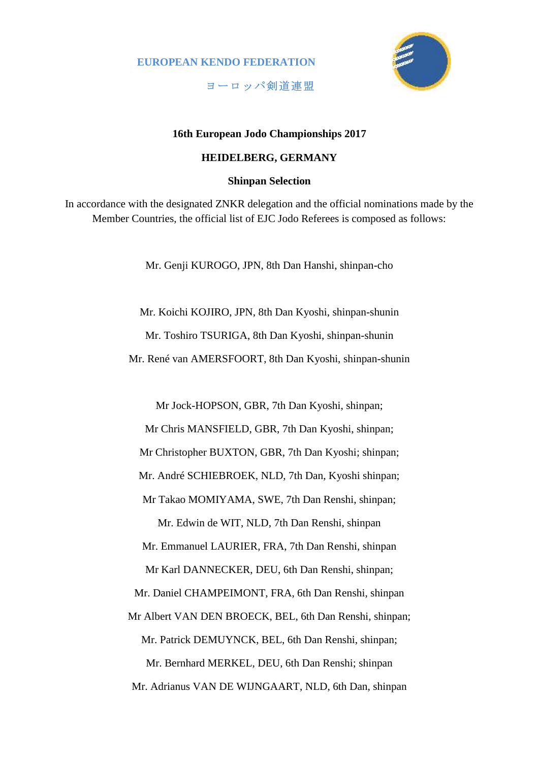**EUROPEAN KENDO FEDERATION**



**ヨーロッパ剣道連盟**

## **16th European Jodo Championships 2017**

## **HEIDELBERG, GERMANY**

**Shinpan Selection**

In accordance with the designated ZNKR delegation and the official nominations made by the Member Countries, the official list of EJC Jodo Referees is composed as follows:

Mr. Genji KUROGO, JPN, 8th Dan Hanshi, shinpan-cho

Mr. Koichi KOJIRO, JPN, 8th Dan Kyoshi, shinpan-shunin Mr. Toshiro TSURIGA, 8th Dan Kyoshi, shinpan-shunin Mr. René van AMERSFOORT, 8th Dan Kyoshi, shinpan-shunin

Mr Jock-HOPSON, GBR, 7th Dan Kyoshi, shinpan; Mr Chris MANSFIELD, GBR, 7th Dan Kyoshi, shinpan; Mr Christopher BUXTON, GBR, 7th Dan Kyoshi; shinpan; Mr. André SCHIEBROEK, NLD, 7th Dan, Kyoshi shinpan; Mr Takao MOMIYAMA, SWE, 7th Dan Renshi, shinpan;

Mr. Edwin de WIT, NLD, 7th Dan Renshi, shinpan Mr. Emmanuel LAURIER, FRA, 7th Dan Renshi, shinpan Mr Karl DANNECKER, DEU, 6th Dan Renshi, shinpan; Mr. Daniel CHAMPEIMONT, FRA, 6th Dan Renshi, shinpan Mr Albert VAN DEN BROECK, BEL, 6th Dan Renshi, shinpan; Mr. Patrick DEMUYNCK, BEL, 6th Dan Renshi, shinpan; Mr. Bernhard MERKEL, DEU, 6th Dan Renshi; shinpan Mr. Adrianus VAN DE WIJNGAART, NLD, 6th Dan, shinpan